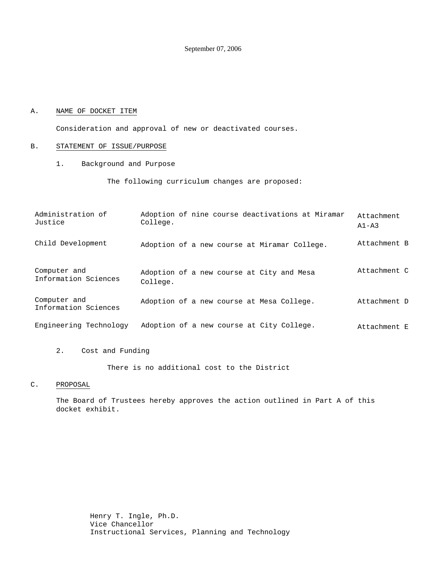September 07, 2006

### A. NAME OF DOCKET ITEM

Consideration and approval of new or deactivated courses.

### B. STATEMENT OF ISSUE/PURPOSE

1. Background and Purpose

The following curriculum changes are proposed:

| Administration of<br>Justice         | Adoption of nine course deactivations at Miramar<br>College. | Attachment<br>$A1 - A3$ |
|--------------------------------------|--------------------------------------------------------------|-------------------------|
| Child Development                    | Adoption of a new course at Miramar College.                 | Attachment B            |
| Computer and<br>Information Sciences | Adoption of a new course at City and Mesa<br>College.        | Attachment C            |
| Computer and<br>Information Sciences | Adoption of a new course at Mesa College.                    | Attachment D            |
| Engineering Technology               | Adoption of a new course at City College.                    | Attachment E            |

2. Cost and Funding

There is no additional cost to the District

### C. PROPOSAL

The Board of Trustees hereby approves the action outlined in Part A of this docket exhibit.

> Henry T. Ingle, Ph.D. Vice Chancellor Instructional Services, Planning and Technology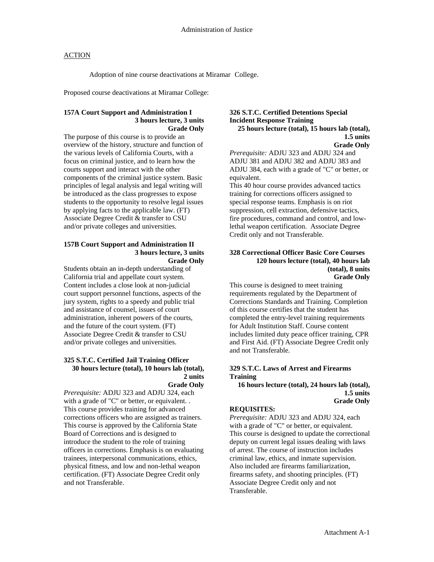Adoption of nine course deactivations at Miramar College.

Proposed course deactivations at Miramar College:

## **157A Court Support and Administration I 3 hours lecture, 3 units Grade Only**

The purpose of this course is to provide an overview of the history, structure and function of the various levels of California Courts, with a focus on criminal justice, and to learn how the courts support and interact with the other components of the criminal justice system. Basic principles of legal analysis and legal writing will be introduced as the class progresses to expose students to the opportunity to resolve legal issues by applying facts to the applicable law. (FT) Associate Degree Credit & transfer to CSU and/or private colleges and universities.

#### **157B Court Support and Administration II 3 hours lecture, 3 units Grade Only**

Students obtain an in-depth understanding of California trial and appellate court system. Content includes a close look at non-judicial court support personnel functions, aspects of the jury system, rights to a speedy and public trial and assistance of counsel, issues of court administration, inherent powers of the courts, and the future of the court system. (FT) Associate Degree Credit & transfer to CSU and/or private colleges and universities.

# **325 S.T.C. Certified Jail Training Officer 30 hours lecture (total), 10 hours lab (total), 2 units**

**Grade Only**  *Prerequisite:* ADJU 323 and ADJU 324, each with a grade of "C" or better, or equivalent. . This course provides training for advanced corrections officers who are assigned as trainers. This course is approved by the California State Board of Corrections and is designed to introduce the student to the role of training officers in corrections. Emphasis is on evaluating trainees, interpersonal communications, ethics, physical fitness, and low and non-lethal weapon certification. (FT) Associate Degree Credit only and not Transferable.

#### **326 S.T.C. Certified Detentions Special Incident Response Training 25 hours lecture (total), 15 hours lab (total), 1.5 units Grade Only**

*Prerequisite:* ADJU 323 and ADJU 324 and ADJU 381 and ADJU 382 and ADJU 383 and ADJU 384, each with a grade of "C" or better, or equivalent.

This 40 hour course provides advanced tactics training for corrections officers assigned to special response teams. Emphasis is on riot suppression, cell extraction, defensive tactics, fire procedures, command and control, and lowlethal weapon certification. Associate Degree Credit only and not Transferable.

#### **328 Correctional Officer Basic Core Courses 120 hours lecture (total), 40 hours lab (total), 8 units Grade Only**

This course is designed to meet training requirements regulated by the Department of Corrections Standards and Training. Completion of this course certifies that the student has completed the entry-level training requirements for Adult Institution Staff. Course content includes limited duty peace officer training, CPR and First Aid. (FT) Associate Degree Credit only and not Transferable.

## **329 S.T.C. Laws of Arrest and Firearms Training**

 **16 hours lecture (total), 24 hours lab (total), 1.5 units Grade Only** 

#### **REQUISITES:**

*Prerequisite:* ADJU 323 and ADJU 324, each with a grade of "C" or better, or equivalent. This course is designed to update the correctional deputy on current legal issues dealing with laws of arrest. The course of instruction includes criminal law, ethics, and inmate supervision. Also included are firearms familiarization, firearms safety, and shooting principles. (FT) Associate Degree Credit only and not Transferable.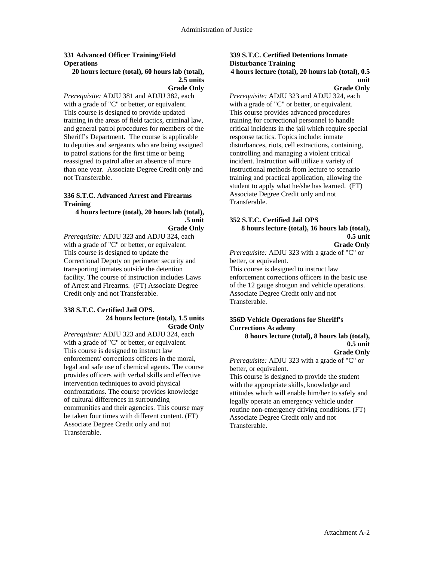# **331 Advanced Officer Training/Field Operations**

#### **20 hours lecture (total), 60 hours lab (total), 2.5 units Grade Only**

*Prerequisite:* ADJU 381 and ADJU 382, each with a grade of "C" or better, or equivalent. This course is designed to provide updated training in the areas of field tactics, criminal law, and general patrol procedures for members of the Sheriff's Department. The course is applicable to deputies and sergeants who are being assigned to patrol stations for the first time or being reassigned to patrol after an absence of more than one year. Associate Degree Credit only and not Transferable.

### **336 S.T.C. Advanced Arrest and Firearms Training**

#### **4 hours lecture (total), 20 hours lab (total), .5 unit Grade Only**

*Prerequisite:* ADJU 323 and ADJU 324, each with a grade of "C" or better, or equivalent. This course is designed to update the Correctional Deputy on perimeter security and transporting inmates outside the detention facility. The course of instruction includes Laws of Arrest and Firearms. (FT) Associate Degree Credit only and not Transferable.

#### **338 S.T.C. Certified Jail OPS. 24 hours lecture (total), 1.5 units Grade Only**

*Prerequisite:* ADJU 323 and ADJU 324, each with a grade of "C" or better, or equivalent. This course is designed to instruct law enforcement/ corrections officers in the moral, legal and safe use of chemical agents. The course provides officers with verbal skills and effective intervention techniques to avoid physical confrontations. The course provides knowledge of cultural differences in surrounding communities and their agencies. This course may be taken four times with different content. (FT) Associate Degree Credit only and not Transferable.

#### **339 S.T.C. Certified Detentions Inmate Disturbance Training 4 hours lecture (total), 20 hours lab (total), 0.5 unit**

# **Grade Only**

*Prerequisite:* ADJU 323 and ADJU 324, each with a grade of "C" or better, or equivalent. This course provides advanced procedures training for correctional personnel to handle critical incidents in the jail which require special response tactics. Topics include: inmate disturbances, riots, cell extractions, containing, controlling and managing a violent critical incident. Instruction will utilize a variety of instructional methods from lecture to scenario training and practical application, allowing the student to apply what he/she has learned. (FT) Associate Degree Credit only and not Transferable.

# **352 S.T.C. Certified Jail OPS 8 hours lecture (total), 16 hours lab (total),**

**0.5 unit** 

**Grade Only** 

*Prerequisite:* ADJU 323 with a grade of "C" or better, or equivalent.

This course is designed to instruct law enforcement corrections officers in the basic use of the 12 gauge shotgun and vehicle operations. Associate Degree Credit only and not Transferable.

## **356D Vehicle Operations for Sheriff's Corrections Academy**

 **8 hours lecture (total), 8 hours lab (total), 0.5 unit** 

**Grade Only** 

*Prerequisite:* ADJU 323 with a grade of "C" or better, or equivalent.

This course is designed to provide the student with the appropriate skills, knowledge and attitudes which will enable him/her to safely and legally operate an emergency vehicle under routine non-emergency driving conditions. (FT) Associate Degree Credit only and not Transferable.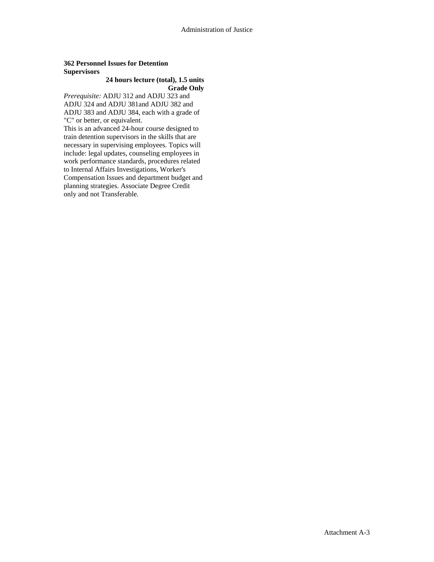## **362 Personnel Issues for Detention Supervisors**

# **24 hours lecture (total), 1.5 units Grade Only**

*Prerequisite:* ADJU 312 and ADJU 323 and ADJU 324 and ADJU 381and ADJU 382 and ADJU 383 and ADJU 384, each with a grade of "C" or better, or equivalent.

This is an advanced 24-hour course designed to train detention supervisors in the skills that are necessary in supervising employees. Topics will include: legal updates, counseling employees in work performance standards, procedures related to Internal Affairs Investigations, Worker's Compensation Issues and department budget and planning strategies. Associate Degree Credit only and not Transferable.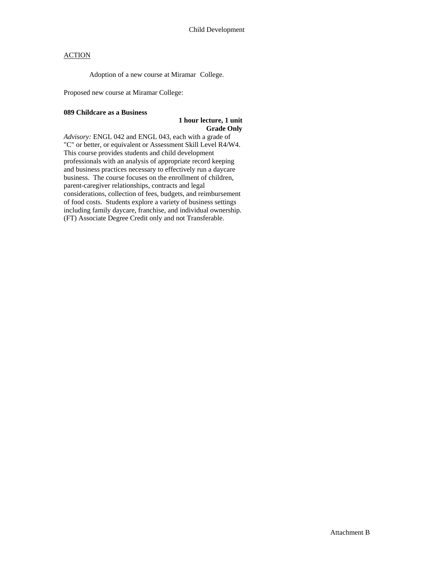Adoption of a new course at Miramar College.

Proposed new course at Miramar College:

#### **089 Childcare as a Business**

### **1 hour lecture, 1 unit Grade Only**

*Advisory:* ENGL 042 and ENGL 043, each with a grade of "C" or better, or equivalent or Assessment Skill Level R4/W4. This course provides students and child development professionals with an analysis of appropriate record keeping and business practices necessary to effectively run a daycare business. The course focuses on the enrollment of children, parent-caregiver relationships, contracts and legal considerations, collection of fees, budgets, and reimbursement of food costs. Students explore a variety of business settings including family daycare, franchise, and individual ownership. (FT) Associate Degree Credit only and not Transferable.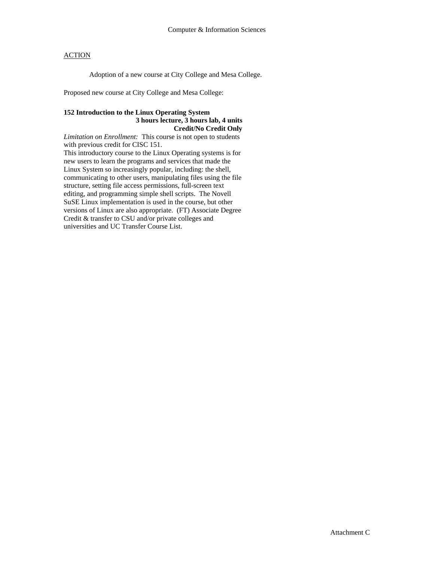Adoption of a new course at City College and Mesa College.

Proposed new course at City College and Mesa College:

### **152 Introduction to the Linux Operating System 3 hours lecture, 3 hours lab, 4 units Credit/No Credit Only**

*Limitation on Enrollment:* This course is not open to students with previous credit for CISC 151. This introductory course to the Linux Operating systems is for new users to learn the programs and services that made the Linux System so increasingly popular, including: the shell, communicating to other users, manipulating files using the file structure, setting file access permissions, full-screen text editing, and programming simple shell scripts. The Novell SuSE Linux implementation is used in the course, but other versions of Linux are also appropriate. (FT) Associate Degree Credit & transfer to CSU and/or private colleges and universities and UC Transfer Course List.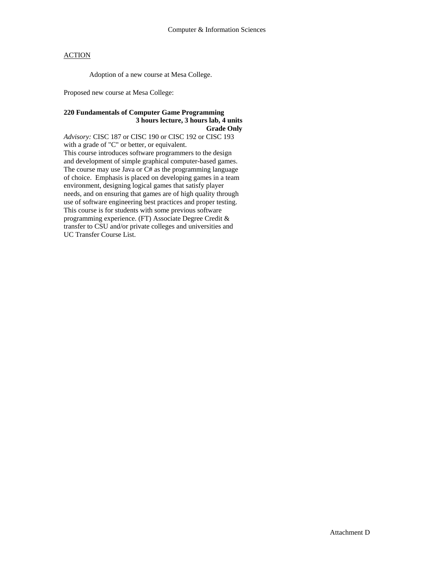Adoption of a new course at Mesa College.

Proposed new course at Mesa College:

### **220 Fundamentals of Computer Game Programming 3 hours lecture, 3 hours lab, 4 units Grade Only**

*Advisory:* CISC 187 or CISC 190 or CISC 192 or CISC 193 with a grade of "C" or better, or equivalent. This course introduces software programmers to the design and development of simple graphical computer-based games. The course may use Java or C# as the programming language of choice. Emphasis is placed on developing games in a team environment, designing logical games that satisfy player needs, and on ensuring that games are of high quality through use of software engineering best practices and proper testing. This course is for students with some previous software programming experience. (FT) Associate Degree Credit & transfer to CSU and/or private colleges and universities and UC Transfer Course List.